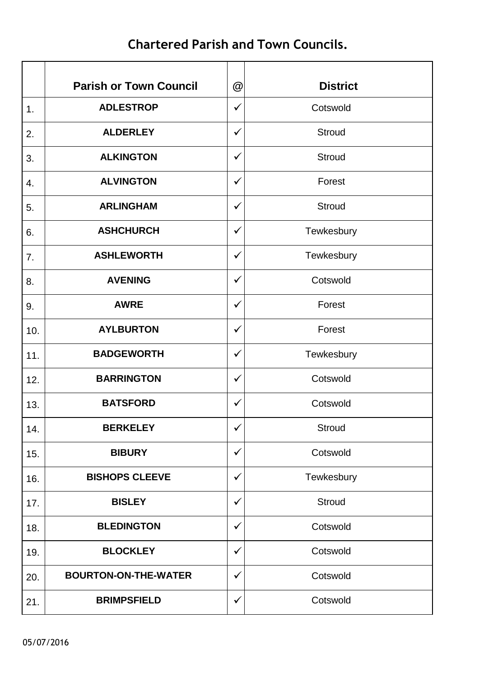## **Chartered Parish and Town Councils.**

|               | <b>Parish or Town Council</b> | @            | <b>District</b> |
|---------------|-------------------------------|--------------|-----------------|
| $\mathbf 1$ . | <b>ADLESTROP</b>              | $\checkmark$ | Cotswold        |
| 2.            | <b>ALDERLEY</b>               | $\checkmark$ | <b>Stroud</b>   |
| 3.            | <b>ALKINGTON</b>              | $\checkmark$ | <b>Stroud</b>   |
| 4.            | <b>ALVINGTON</b>              | ✓            | Forest          |
| 5.            | <b>ARLINGHAM</b>              | $\checkmark$ | Stroud          |
| 6.            | <b>ASHCHURCH</b>              | $\checkmark$ | Tewkesbury      |
| 7.            | <b>ASHLEWORTH</b>             | $\checkmark$ | Tewkesbury      |
| 8.            | <b>AVENING</b>                | $\checkmark$ | Cotswold        |
| 9.            | <b>AWRE</b>                   | $\checkmark$ | Forest          |
| 10.           | <b>AYLBURTON</b>              | $\checkmark$ | Forest          |
| 11.           | <b>BADGEWORTH</b>             | $\checkmark$ | Tewkesbury      |
| 12.           | <b>BARRINGTON</b>             | $\checkmark$ | Cotswold        |
| 13.           | <b>BATSFORD</b>               | ✓            | Cotswold        |
| 14.           | <b>BERKELEY</b>               | $\checkmark$ | <b>Stroud</b>   |
| 15.           | <b>BIBURY</b>                 | $\checkmark$ | Cotswold        |
| 16.           | <b>BISHOPS CLEEVE</b>         | ✓            | Tewkesbury      |
| 17.           | <b>BISLEY</b>                 | $\checkmark$ | <b>Stroud</b>   |
| 18.           | <b>BLEDINGTON</b>             | $\checkmark$ | Cotswold        |
| 19.           | <b>BLOCKLEY</b>               | $\checkmark$ | Cotswold        |
| 20.           | <b>BOURTON-ON-THE-WATER</b>   | $\checkmark$ | Cotswold        |
| 21.           | <b>BRIMPSFIELD</b>            | $\checkmark$ | Cotswold        |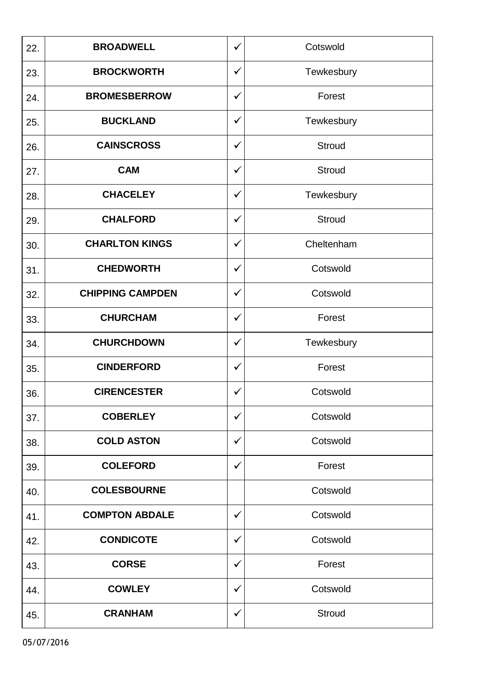| 22. | <b>BROADWELL</b>        | ✓            | Cotswold      |
|-----|-------------------------|--------------|---------------|
| 23. | <b>BROCKWORTH</b>       | ✓            | Tewkesbury    |
| 24. | <b>BROMESBERROW</b>     | ✓            | Forest        |
| 25. | <b>BUCKLAND</b>         | ✓            | Tewkesbury    |
| 26. | <b>CAINSCROSS</b>       | $\checkmark$ | <b>Stroud</b> |
| 27. | <b>CAM</b>              | $\checkmark$ | Stroud        |
| 28. | <b>CHACELEY</b>         | $\checkmark$ | Tewkesbury    |
| 29. | <b>CHALFORD</b>         | $\checkmark$ | <b>Stroud</b> |
| 30. | <b>CHARLTON KINGS</b>   | ✓            | Cheltenham    |
| 31. | <b>CHEDWORTH</b>        | $\checkmark$ | Cotswold      |
| 32. | <b>CHIPPING CAMPDEN</b> | ✓            | Cotswold      |
| 33. | <b>CHURCHAM</b>         | $\checkmark$ | Forest        |
| 34. | <b>CHURCHDOWN</b>       | ✓            | Tewkesbury    |
| 35. | <b>CINDERFORD</b>       | $\checkmark$ | Forest        |
| 36. | <b>CIRENCESTER</b>      | $\checkmark$ | Cotswold      |
| 37. | <b>COBERLEY</b>         | $\checkmark$ | Cotswold      |
| 38. | <b>COLD ASTON</b>       | ✓            | Cotswold      |
| 39. | <b>COLEFORD</b>         | $\checkmark$ | Forest        |
| 40. | <b>COLESBOURNE</b>      |              | Cotswold      |
| 41. | <b>COMPTON ABDALE</b>   | $\checkmark$ | Cotswold      |
| 42. | <b>CONDICOTE</b>        | ✓            | Cotswold      |
| 43. | <b>CORSE</b>            | ✓            | Forest        |
| 44. | <b>COWLEY</b>           | ✓            | Cotswold      |
| 45. | <b>CRANHAM</b>          | $\checkmark$ | <b>Stroud</b> |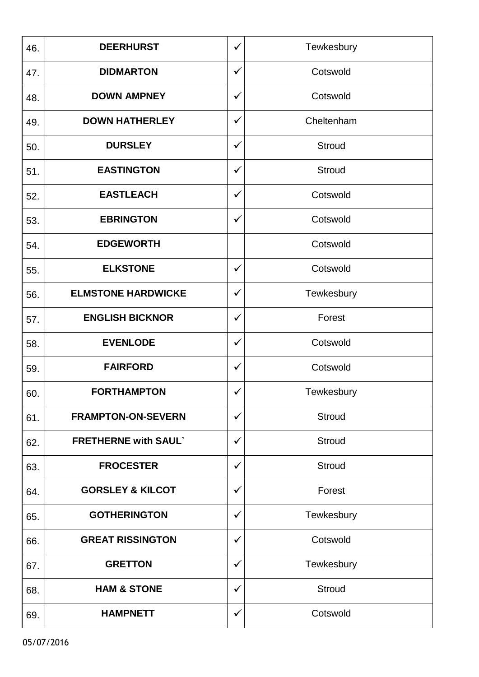| 46. | <b>DEERHURST</b>            | ✓            | Tewkesbury    |
|-----|-----------------------------|--------------|---------------|
| 47. | <b>DIDMARTON</b>            | $\checkmark$ | Cotswold      |
| 48. | <b>DOWN AMPNEY</b>          | ✓            | Cotswold      |
| 49. | <b>DOWN HATHERLEY</b>       | ✓            | Cheltenham    |
| 50. | <b>DURSLEY</b>              | $\checkmark$ | <b>Stroud</b> |
| 51. | <b>EASTINGTON</b>           | $\checkmark$ | <b>Stroud</b> |
| 52. | <b>EASTLEACH</b>            | $\checkmark$ | Cotswold      |
| 53. | <b>EBRINGTON</b>            | ✓            | Cotswold      |
| 54. | <b>EDGEWORTH</b>            |              | Cotswold      |
| 55. | <b>ELKSTONE</b>             | $\checkmark$ | Cotswold      |
| 56. | <b>ELMSTONE HARDWICKE</b>   | ✓            | Tewkesbury    |
| 57. | <b>ENGLISH BICKNOR</b>      | $\checkmark$ | Forest        |
| 58. | <b>EVENLODE</b>             | $\checkmark$ | Cotswold      |
| 59. | <b>FAIRFORD</b>             | $\checkmark$ | Cotswold      |
| 60. | <b>FORTHAMPTON</b>          | ✓            | Tewkesbury    |
| 61. | <b>FRAMPTON-ON-SEVERN</b>   | $\checkmark$ | <b>Stroud</b> |
| 62. | <b>FRETHERNE with SAUL`</b> | ✓            | <b>Stroud</b> |
| 63. | <b>FROCESTER</b>            | $\checkmark$ | <b>Stroud</b> |
| 64. | <b>GORSLEY &amp; KILCOT</b> | ✓            | Forest        |
| 65. | <b>GOTHERINGTON</b>         | $\checkmark$ | Tewkesbury    |
| 66. | <b>GREAT RISSINGTON</b>     | ✓            | Cotswold      |
| 67. | <b>GRETTON</b>              | ✓            | Tewkesbury    |
| 68. | <b>HAM &amp; STONE</b>      | ✓            | <b>Stroud</b> |
| 69. | <b>HAMPNETT</b>             | $\checkmark$ | Cotswold      |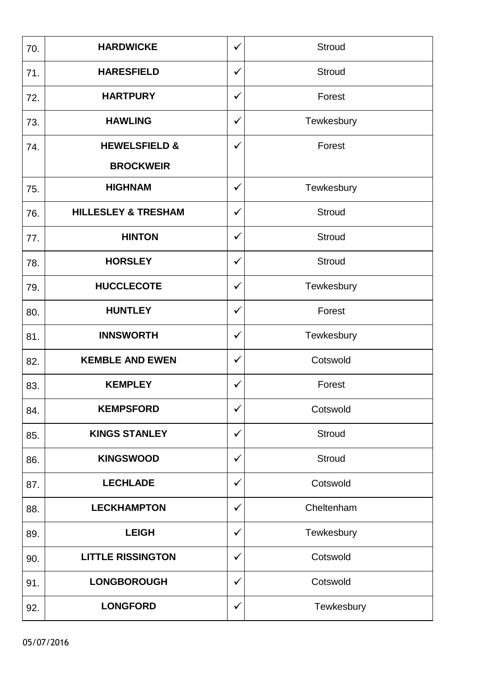| 70. | <b>HARDWICKE</b>               | $\checkmark$ | <b>Stroud</b> |
|-----|--------------------------------|--------------|---------------|
| 71. | <b>HARESFIELD</b>              | ✓            | <b>Stroud</b> |
| 72. | <b>HARTPURY</b>                | $\checkmark$ | Forest        |
| 73. | <b>HAWLING</b>                 | $\checkmark$ | Tewkesbury    |
| 74. | <b>HEWELSFIELD &amp;</b>       | $\checkmark$ | Forest        |
|     | <b>BROCKWEIR</b>               |              |               |
| 75. | <b>HIGHNAM</b>                 | ✓            | Tewkesbury    |
| 76. | <b>HILLESLEY &amp; TRESHAM</b> | $\checkmark$ | <b>Stroud</b> |
| 77. | <b>HINTON</b>                  | $\checkmark$ | <b>Stroud</b> |
| 78. | <b>HORSLEY</b>                 | $\checkmark$ | <b>Stroud</b> |
| 79. | <b>HUCCLECOTE</b>              | $\checkmark$ | Tewkesbury    |
| 80. | <b>HUNTLEY</b>                 | ✓            | Forest        |
| 81. | <b>INNSWORTH</b>               | $\checkmark$ | Tewkesbury    |
| 82. | <b>KEMBLE AND EWEN</b>         | ✓            | Cotswold      |
| 83. | <b>KEMPLEY</b>                 | $\checkmark$ | Forest        |
| 84. | <b>KEMPSFORD</b>               | ✓            | Cotswold      |
| 85. | <b>KINGS STANLEY</b>           | ✓            | <b>Stroud</b> |
| 86. | <b>KINGSWOOD</b>               | ✓            | <b>Stroud</b> |
| 87. | <b>LECHLADE</b>                | $\checkmark$ | Cotswold      |
| 88. | <b>LECKHAMPTON</b>             | ✓            | Cheltenham    |
| 89. | <b>LEIGH</b>                   | ✓            | Tewkesbury    |
| 90. | <b>LITTLE RISSINGTON</b>       | ✓            | Cotswold      |
| 91. | <b>LONGBOROUGH</b>             | $\checkmark$ | Cotswold      |
| 92. | <b>LONGFORD</b>                | $\checkmark$ | Tewkesbury    |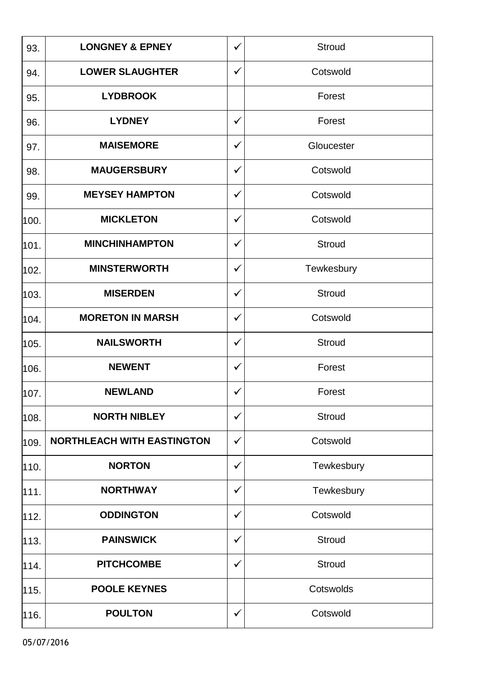| 93.  | <b>LONGNEY &amp; EPNEY</b>        | ✓            | Stroud        |
|------|-----------------------------------|--------------|---------------|
| 94.  | <b>LOWER SLAUGHTER</b>            | ✓            | Cotswold      |
| 95.  | <b>LYDBROOK</b>                   |              | Forest        |
| 96.  | <b>LYDNEY</b>                     | ✓            | Forest        |
| 97.  | <b>MAISEMORE</b>                  | $\checkmark$ | Gloucester    |
| 98.  | <b>MAUGERSBURY</b>                | $\checkmark$ | Cotswold      |
| 99.  | <b>MEYSEY HAMPTON</b>             | ✓            | Cotswold      |
| 100. | <b>MICKLETON</b>                  | ✓            | Cotswold      |
| 101. | <b>MINCHINHAMPTON</b>             | ✓            | <b>Stroud</b> |
| 102. | <b>MINSTERWORTH</b>               | $\checkmark$ | Tewkesbury    |
| 103. | <b>MISERDEN</b>                   | ✓            | Stroud        |
| 104. | <b>MORETON IN MARSH</b>           | ✓            | Cotswold      |
| 105. | <b>NAILSWORTH</b>                 | ✓            | Stroud        |
| 106. | <b>NEWENT</b>                     | ✓            | Forest        |
| 107. | <b>NEWLAND</b>                    | ✓            | Forest        |
| 108. | <b>NORTH NIBLEY</b>               | $\checkmark$ | <b>Stroud</b> |
| 109. | <b>NORTHLEACH WITH EASTINGTON</b> | ✓            | Cotswold      |
| 110. | <b>NORTON</b>                     | ✓            | Tewkesbury    |
| 111. | <b>NORTHWAY</b>                   | ✓            | Tewkesbury    |
| 112. | <b>ODDINGTON</b>                  | $\checkmark$ | Cotswold      |
| 113. | <b>PAINSWICK</b>                  | ✓            | Stroud        |
| 114. | <b>PITCHCOMBE</b>                 | ✓            | Stroud        |
| 115. | <b>POOLE KEYNES</b>               |              | Cotswolds     |
| 116. | <b>POULTON</b>                    | $\checkmark$ | Cotswold      |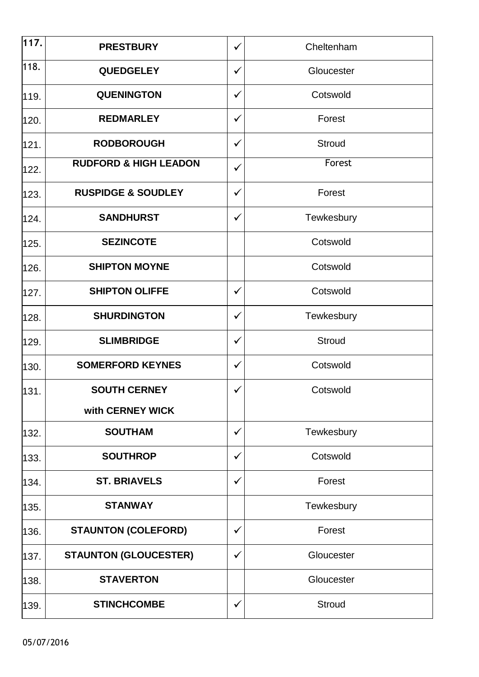| $\overline{1}17.$ | <b>PRESTBURY</b>                 | ✓            | Cheltenham    |
|-------------------|----------------------------------|--------------|---------------|
| 118.              | <b>QUEDGELEY</b>                 | ✓            | Gloucester    |
| 119.              | <b>QUENINGTON</b>                | $\checkmark$ | Cotswold      |
| 120.              | <b>REDMARLEY</b>                 | $\checkmark$ | Forest        |
| 121.              | <b>RODBOROUGH</b>                | $\checkmark$ | Stroud        |
| 122.              | <b>RUDFORD &amp; HIGH LEADON</b> | ✓            | Forest        |
| 123.              | <b>RUSPIDGE &amp; SOUDLEY</b>    | $\checkmark$ | Forest        |
| 124.              | <b>SANDHURST</b>                 | ✓            | Tewkesbury    |
| 125.              | <b>SEZINCOTE</b>                 |              | Cotswold      |
| 126.              | <b>SHIPTON MOYNE</b>             |              | Cotswold      |
| 127.              | <b>SHIPTON OLIFFE</b>            | ✓            | Cotswold      |
| 128.              | <b>SHURDINGTON</b>               | ✓            | Tewkesbury    |
| 129.              | <b>SLIMBRIDGE</b>                | $\checkmark$ | <b>Stroud</b> |
| 130.              | <b>SOMERFORD KEYNES</b>          | ✓            | Cotswold      |
| 131.              | <b>SOUTH CERNEY</b>              | ✓            | Cotswold      |
|                   | with CERNEY WICK                 |              |               |
| 132.              | <b>SOUTHAM</b>                   | ✓            | Tewkesbury    |
| 133.              | <b>SOUTHROP</b>                  | $\checkmark$ | Cotswold      |
| 134.              | <b>ST. BRIAVELS</b>              | ✓            | Forest        |
| 135.              | <b>STANWAY</b>                   |              | Tewkesbury    |
| 136.              | <b>STAUNTON (COLEFORD)</b>       | ✓            | Forest        |
| 137.              | <b>STAUNTON (GLOUCESTER)</b>     | ✓            | Gloucester    |
| 138.              | <b>STAVERTON</b>                 |              | Gloucester    |
| 139.              | <b>STINCHCOMBE</b>               | ✓            | <b>Stroud</b> |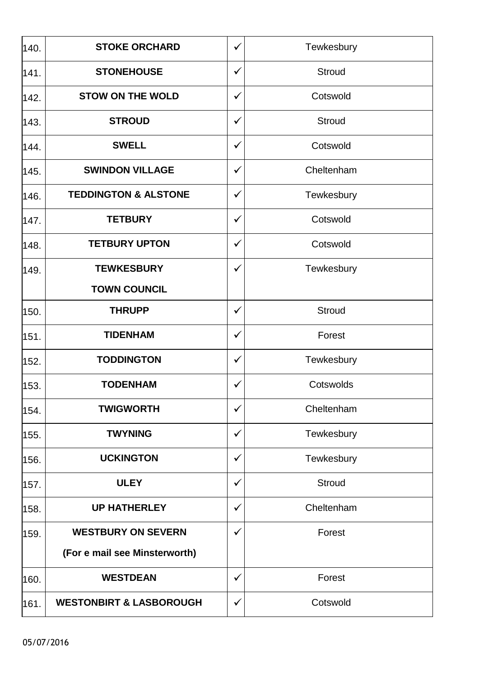| 140. | <b>STOKE ORCHARD</b>               | $\checkmark$ | Tewkesbury    |
|------|------------------------------------|--------------|---------------|
| 141. | <b>STONEHOUSE</b>                  | $\checkmark$ | <b>Stroud</b> |
| 142. | <b>STOW ON THE WOLD</b>            | $\checkmark$ | Cotswold      |
| 143. | <b>STROUD</b>                      | ✓            | <b>Stroud</b> |
| 144. | <b>SWELL</b>                       | ✓            | Cotswold      |
| 145. | <b>SWINDON VILLAGE</b>             | ✓            | Cheltenham    |
| 146. | <b>TEDDINGTON &amp; ALSTONE</b>    | $\checkmark$ | Tewkesbury    |
| 147. | <b>TETBURY</b>                     | $\checkmark$ | Cotswold      |
| 148. | <b>TETBURY UPTON</b>               | ✓            | Cotswold      |
| 149. | <b>TEWKESBURY</b>                  | ✓            | Tewkesbury    |
|      | <b>TOWN COUNCIL</b>                |              |               |
| 150. | <b>THRUPP</b>                      | $\checkmark$ | <b>Stroud</b> |
| 151. | <b>TIDENHAM</b>                    | $\checkmark$ | Forest        |
| 152. | <b>TODDINGTON</b>                  | ✓            | Tewkesbury    |
| 153. | <b>TODENHAM</b>                    | $\checkmark$ | Cotswolds     |
| 154. | <b>TWIGWORTH</b>                   | ✓            | Cheltenham    |
| 155. | <b>TWYNING</b>                     | ✓            | Tewkesbury    |
| 156. | <b>UCKINGTON</b>                   | ✓            | Tewkesbury    |
| 157. | <b>ULEY</b>                        | ✓            | <b>Stroud</b> |
| 158. | <b>UP HATHERLEY</b>                | ✓            | Cheltenham    |
| 159. | <b>WESTBURY ON SEVERN</b>          | ✓            | Forest        |
|      | (For e mail see Minsterworth)      |              |               |
| 160. | <b>WESTDEAN</b>                    | ✓            | Forest        |
| 161. | <b>WESTONBIRT &amp; LASBOROUGH</b> | ✓            | Cotswold      |